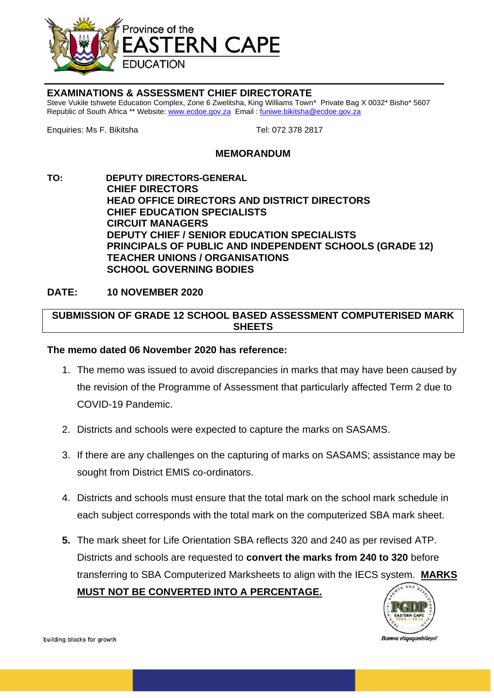

## **EXAMINATIONS & ASSESSMENT CHIEF DIRECTORATE**

Steve Vukile tshwete Education Complex, Zone 6 Zwelitsha, King Williams Town\* Private Bag X 0032\* Bisho\* 5607 Republic of South Africa \*\* Website[: www.ecdoe.gov.za](http://www.ecdoe.gov.za/) Email : [funiwe.bikitsha@ecdoe.gov.za](mailto:funiwe.bikitsha@ecdoe.gov.za)

Enquiries: Ms F. Bikitsha Tel: 072 378 2817

## **MEMORANDUM**

**TO: DEPUTY DIRECTORS-GENERAL CHIEF DIRECTORS HEAD OFFICE DIRECTORS AND DISTRICT DIRECTORS CHIEF EDUCATION SPECIALISTS CIRCUIT MANAGERS DEPUTY CHIEF / SENIOR EDUCATION SPECIALISTS PRINCIPALS OF PUBLIC AND INDEPENDENT SCHOOLS (GRADE 12) TEACHER UNIONS / ORGANISATIONS SCHOOL GOVERNING BODIES**

## **DATE: 10 NOVEMBER 2020**

## **SUBMISSION OF GRADE 12 SCHOOL BASED ASSESSMENT COMPUTERISED MARK SHEETS**

#### **The memo dated 06 November 2020 has reference:**

- 1. The memo was issued to avoid discrepancies in marks that may have been caused by the revision of the Programme of Assessment that particularly affected Term 2 due to COVID-19 Pandemic.
- 2. Districts and schools were expected to capture the marks on SASAMS.
- 3. If there are any challenges on the capturing of marks on SASAMS; assistance may be sought from District EMIS co-ordinators.
- 4. Districts and schools must ensure that the total mark on the school mark schedule in each subject corresponds with the total mark on the computerized SBA mark sheet.
- **5.** The mark sheet for Life Orientation SBA reflects 320 and 240 as per revised ATP. Districts and schools are requested to **convert the marks from 240 to 320** before transferring to SBA Computerized Marksheets to align with the IECS system. **MARKS MUST NOT BE CONVERTED INTO A PERCENTAGE.**



building blocks for growth